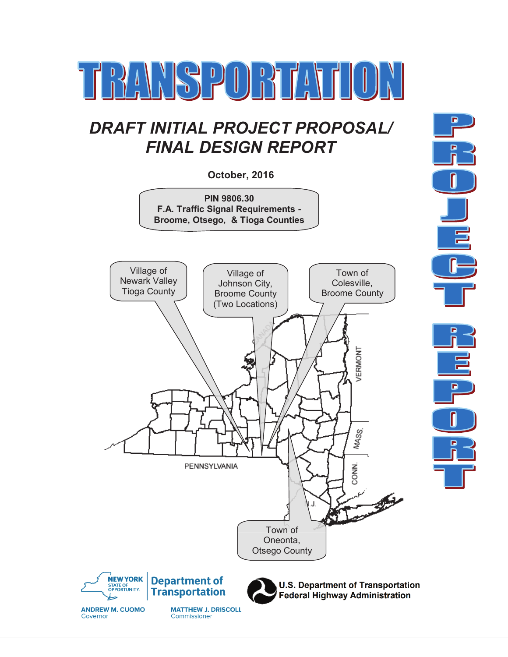

# *DRAFT INITIAL PROJECT PROPOSAL/ FINAL DESIGN REPORT*

**October, 2016** 

**PIN 9806.30 F.A. Traffic Signal Requirements - Broome, Otsego, & Tioga Counties** 

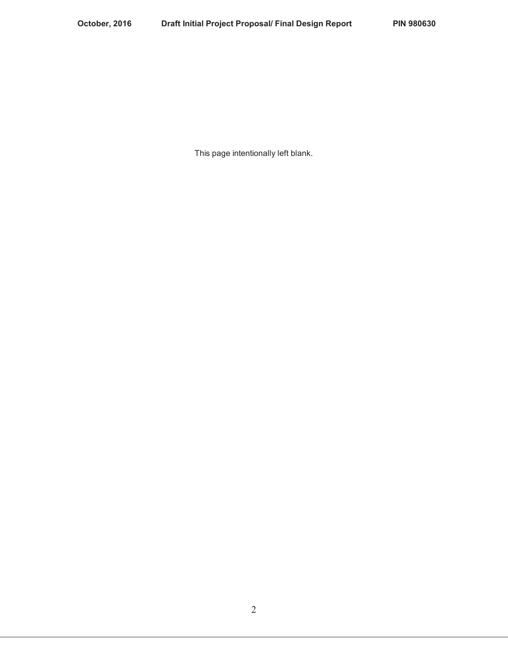This page intentionally left blank.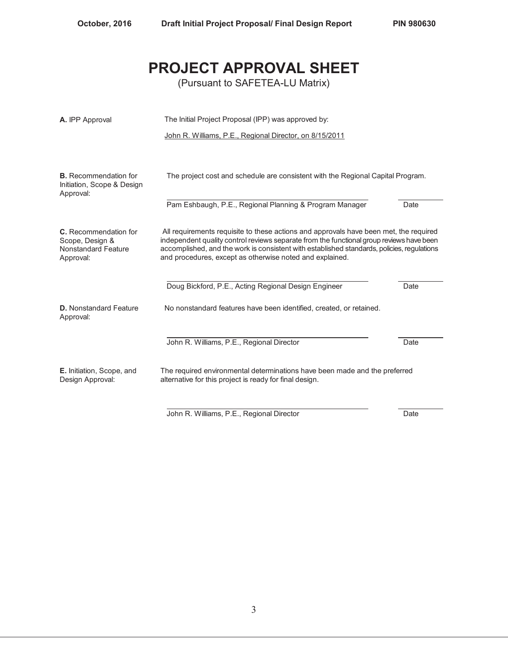## **PROJECT APPROVAL SHEET**

(Pursuant to SAFETEA-LU Matrix)

| A. IPP Approval                                                                     | The Initial Project Proposal (IPP) was approved by:                                                                                                                                                                                                                                                                                         |      |  |  |  |  |
|-------------------------------------------------------------------------------------|---------------------------------------------------------------------------------------------------------------------------------------------------------------------------------------------------------------------------------------------------------------------------------------------------------------------------------------------|------|--|--|--|--|
|                                                                                     | John R. Williams, P.E., Regional Director, on 8/15/2011                                                                                                                                                                                                                                                                                     |      |  |  |  |  |
| <b>B.</b> Recommendation for<br>Initiation, Scope & Design<br>Approval:             | The project cost and schedule are consistent with the Regional Capital Program.                                                                                                                                                                                                                                                             |      |  |  |  |  |
|                                                                                     | Pam Eshbaugh, P.E., Regional Planning & Program Manager                                                                                                                                                                                                                                                                                     | Date |  |  |  |  |
| <b>C.</b> Recommendation for<br>Scope, Design &<br>Nonstandard Feature<br>Approval: | All requirements requisite to these actions and approvals have been met, the required<br>independent quality control reviews separate from the functional group reviews have been<br>accomplished, and the work is consistent with established standards, policies, regulations<br>and procedures, except as otherwise noted and explained. |      |  |  |  |  |
|                                                                                     | Doug Bickford, P.E., Acting Regional Design Engineer                                                                                                                                                                                                                                                                                        | Date |  |  |  |  |
| <b>D.</b> Nonstandard Feature<br>Approval:                                          | No nonstandard features have been identified, created, or retained.                                                                                                                                                                                                                                                                         |      |  |  |  |  |
|                                                                                     | John R. Williams, P.E., Regional Director                                                                                                                                                                                                                                                                                                   | Date |  |  |  |  |
| E. Initiation, Scope, and<br>Design Approval:                                       | The required environmental determinations have been made and the preferred<br>alternative for this project is ready for final design.                                                                                                                                                                                                       |      |  |  |  |  |
|                                                                                     | John R. Williams, P.E., Regional Director                                                                                                                                                                                                                                                                                                   | Date |  |  |  |  |

3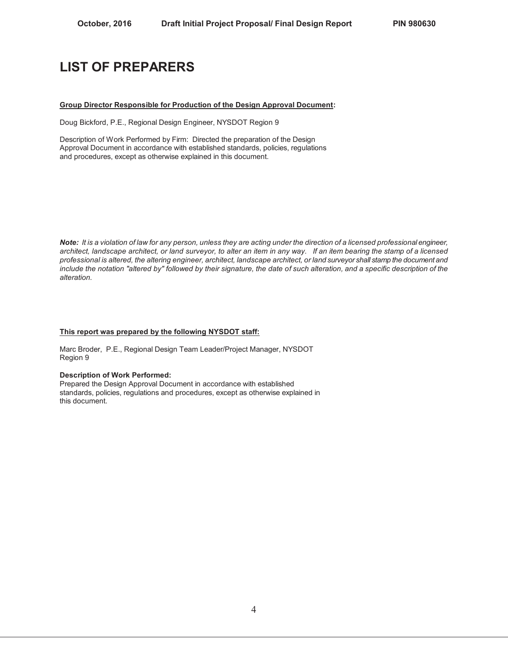## **LIST OF PREPARERS**

#### **Group Director Responsible for Production of the Design Approval Document:**

Doug Bickford, P.E., Regional Design Engineer, NYSDOT Region 9

Description of Work Performed by Firm: Directed the preparation of the Design Approval Document in accordance with established standards, policies, regulations and procedures, except as otherwise explained in this document.

*Note: It is a violation of law for any person, unless they are acting under the direction of a licensed professional engineer, architect, landscape architect, or land surveyor, to alter an item in any way. If an item bearing the stamp of a licensed professional is altered, the altering engineer, architect, landscape architect, or land surveyor shall stamp the document and include the notation "altered by" followed by their signature, the date of such alteration, and a specific description of the alteration.* 

#### **This report was prepared by the following NYSDOT staff:**

Marc Broder, P.E., Regional Design Team Leader/Project Manager, NYSDOT Region 9

#### **Description of Work Performed:**

Prepared the Design Approval Document in accordance with established standards, policies, regulations and procedures, except as otherwise explained in this document.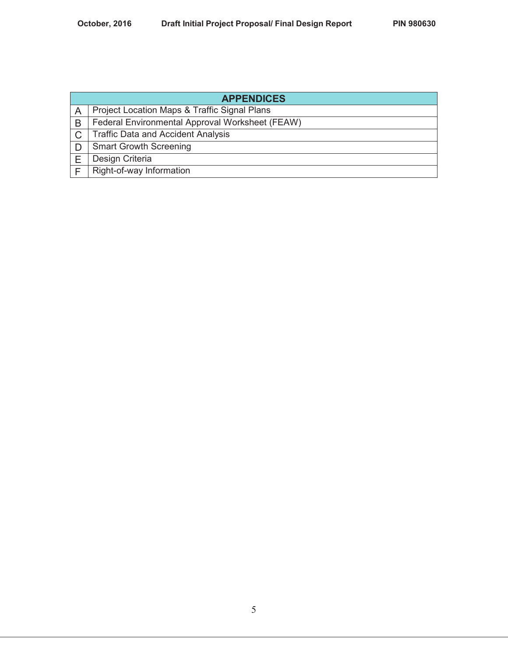| <b>APPENDICES</b> |                                                 |  |  |  |
|-------------------|-------------------------------------------------|--|--|--|
|                   | Project Location Maps & Traffic Signal Plans    |  |  |  |
| B                 | Federal Environmental Approval Worksheet (FEAW) |  |  |  |
|                   | <b>Traffic Data and Accident Analysis</b>       |  |  |  |
|                   | <b>Smart Growth Screening</b>                   |  |  |  |
|                   | Design Criteria                                 |  |  |  |
|                   | Right-of-way Information                        |  |  |  |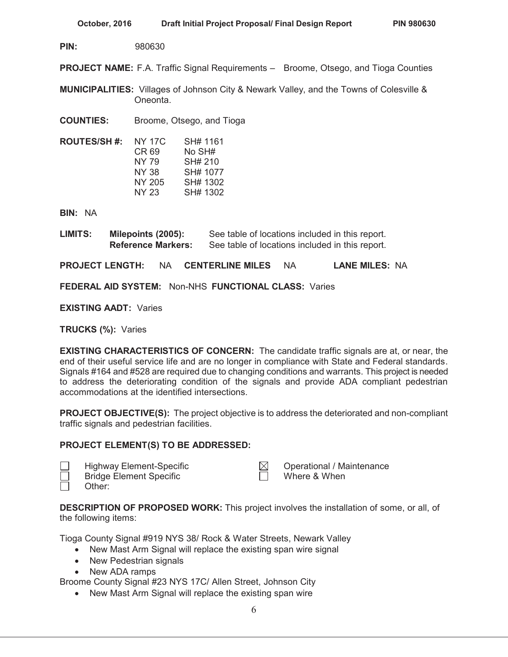**October, 2016 Draft Initial Project Proposal/ Final Design Report PIN 980630** 

**PIN:** 980630

**PROJECT NAME:** F.A. Traffic Signal Requirements – Broome, Otsego, and Tioga Counties

**MUNICIPALITIES:** Villages of Johnson City & Newark Valley, and the Towns of Colesville & Oneonta.

**COUNTIES:** Broome, Otsego, and Tioga

**ROUTES/SH #:** NY 17C SH# 1161 CR 69 No SH#<br>NY 79 SH# 210 SH# 210 NY 38 SH# 1077 NY 205 SH# 1302<br>NY 23 SH# 1302 SH# 1302

**BIN:** NA

**LIMITS: Milepoints (2005):** See table of locations included in this report. **Reference Markers:** See table of locations included in this report.

**PROJECT LENGTH:** NA **CENTERLINE MILES** NA **LANE MILES:** NA

**FEDERAL AID SYSTEM:** Non-NHS **FUNCTIONAL CLASS:** Varies

**EXISTING AADT:** Varies

**TRUCKS (%):** Varies

**EXISTING CHARACTERISTICS OF CONCERN:** The candidate traffic signals are at, or near, the end of their useful service life and are no longer in compliance with State and Federal standards. Signals #164 and #528 are required due to changing conditions and warrants. This project is needed to address the deteriorating condition of the signals and provide ADA compliant pedestrian accommodations at the identified intersections.

**PROJECT OBJECTIVE(S):** The project objective is to address the deteriorated and non-compliant traffic signals and pedestrian facilities.

### **PROJECT ELEMENT(S) TO BE ADDRESSED:**

**Bridge Element Specific** Other:

□ Highway Element-Specific 
<br>
□ Bridge Element Specific

□ Where & When

Operational / Maintenance

**DESCRIPTION OF PROPOSED WORK:** This project involves the installation of some, or all, of the following items:

Tioga County Signal #919 NYS 38/ Rock & Water Streets, Newark Valley

- · New Mast Arm Signal will replace the existing span wire signal
- · New Pedestrian signals
- · New ADA ramps

Broome County Signal #23 NYS 17C/ Allen Street, Johnson City

· New Mast Arm Signal will replace the existing span wire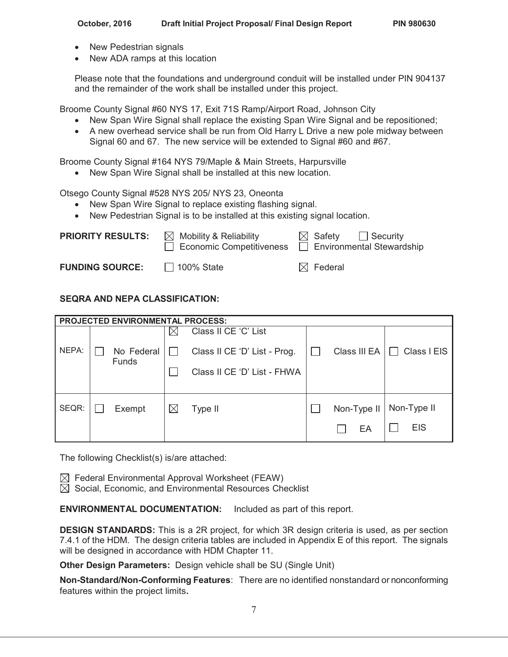- New Pedestrian signals
- New ADA ramps at this location

Please note that the foundations and underground conduit will be installed under PIN 904137 and the remainder of the work shall be installed under this project.

Broome County Signal #60 NYS 17, Exit 71S Ramp/Airport Road, Johnson City

- New Span Wire Signal shall replace the existing Span Wire Signal and be repositioned;
- A new overhead service shall be run from Old Harry L Drive a new pole midway between Signal 60 and 67. The new service will be extended to Signal #60 and #67.

Broome County Signal #164 NYS 79/Maple & Main Streets, Harpursville

New Span Wire Signal shall be installed at this new location.

Otsego County Signal #528 NYS 205/ NYS 23, Oneonta

- New Span Wire Signal to replace existing flashing signal.
- · New Pedestrian Signal is to be installed at this existing signal location.

| <b>PRIORITY RESULTS:</b> | $\boxtimes$ Mobility & Reliability<br>$\Box$ Economic Competitiveness | $\boxtimes$ Safety $\Box$ Security<br>Environmental Stewardship |
|--------------------------|-----------------------------------------------------------------------|-----------------------------------------------------------------|
| <b>FUNDING SOURCE:</b>   | $\Box$ 100% State                                                     | $\boxtimes$ Federal                                             |

## **SEQRA AND NEPA CLASSIFICATION:**

|       | <b>PROJECTED ENVIRONMENTAL PROCESS:</b> |        |             |                              |  |              |             |
|-------|-----------------------------------------|--------|-------------|------------------------------|--|--------------|-------------|
|       |                                         |        |             | Class II CE 'C' List         |  |              |             |
| NEPA: | No Federal<br><b>Funds</b>              |        |             | Class II CE 'D' List - Prog. |  | Class III EA | Class I EIS |
|       |                                         |        |             | Class II CE 'D' List - FHWA  |  |              |             |
| SEQR: |                                         | Exempt | $\boxtimes$ | Type II                      |  | Non-Type II  | Non-Type II |
|       |                                         |        |             |                              |  | EA           | <b>EIS</b>  |

The following Checklist(s) is/are attached:

 $\boxtimes$  Federal Environmental Approval Worksheet (FEAW)

 $\boxtimes$  Social, Economic, and Environmental Resources Checklist

**ENVIRONMENTAL DOCUMENTATION:** Included as part of this report.

**DESIGN STANDARDS:** This is a 2R project, for which 3R design criteria is used, as per section 7.4.1 of the HDM. The design criteria tables are included in Appendix E of this report. The signals will be designed in accordance with HDM Chapter 11.

**Other Design Parameters:** Design vehicle shall be SU (Single Unit)

**Non-Standard/Non-Conforming Features**: There are no identified nonstandard or nonconforming features within the project limits**.**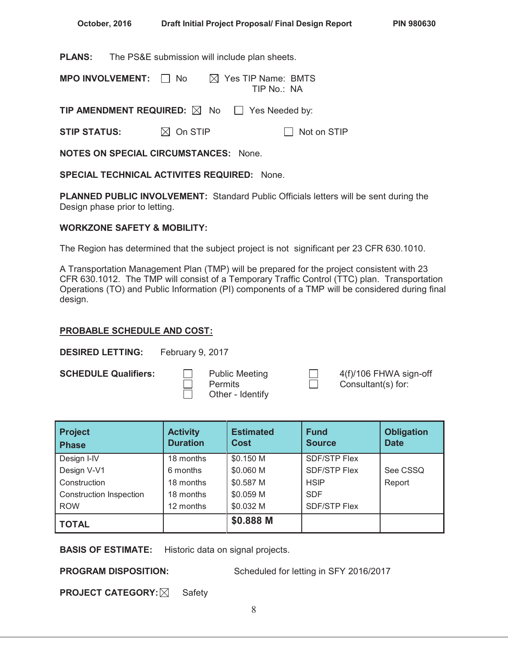| October, 2016 | Draft Initial Project Proposal/ Final Design Report | <b>PIN 980630</b> |
|---------------|-----------------------------------------------------|-------------------|
|---------------|-----------------------------------------------------|-------------------|

**PLANS:** The PS&E submission will include plan sheets.

**MPO INVOLVEMENT:** No  $\boxtimes$  Yes TIP Name: BMTS TIP No.: NA

**TIP AMENDMENT REQUIRED:**  $\boxtimes$  No  $\Box$  Yes Needed by:

**STIP STATUS:**  $\boxtimes$  On STIP  $\Box$  Not on STIP

**NOTES ON SPECIAL CIRCUMSTANCES:** None.

**SPECIAL TECHNICAL ACTIVITES REQUIRED:** None.

**PLANNED PUBLIC INVOLVEMENT:** Standard Public Officials letters will be sent during the Design phase prior to letting.

### **WORKZONE SAFETY & MOBILITY:**

The Region has determined that the subject project is not significant per 23 CFR 630.1010.

A Transportation Management Plan (TMP) will be prepared for the project consistent with 23 CFR 630.1012. The TMP will consist of a Temporary Traffic Control (TTC) plan. Transportation Operations (TO) and Public Information (PI) components of a TMP will be considered during final design.

## **PROBABLE SCHEDULE AND COST:**

**DESIRED LETTING:** February 9, 2017

**SCHEDULE Qualifiers:**  $\Box$  Public Meeting  $\Box$  4(f)/106 FHWA sign-off

Other - Identify

 $\Box$  Consultant(s) for:

| <b>Project</b><br><b>Phase</b> | <b>Activity</b><br><b>Duration</b> | <b>Estimated</b><br><b>Cost</b> | <b>Fund</b><br><b>Source</b> | <b>Obligation</b><br><b>Date</b> |
|--------------------------------|------------------------------------|---------------------------------|------------------------------|----------------------------------|
| Design I-IV                    | 18 months                          | \$0.150 M                       | <b>SDF/STP Flex</b>          |                                  |
| Design V-V1                    | 6 months                           | \$0.060 M                       | <b>SDF/STP Flex</b>          | See CSSQ                         |
| Construction                   | 18 months                          | \$0.587 M                       | <b>HSIP</b>                  | Report                           |
| <b>Construction Inspection</b> | 18 months                          | \$0.059 M                       | <b>SDF</b>                   |                                  |
| <b>ROW</b>                     | 12 months                          | \$0.032 M                       | <b>SDF/STP Flex</b>          |                                  |
| <b>TOTAL</b>                   |                                    | \$0.888 M                       |                              |                                  |

**BASIS OF ESTIMATE:** Historic data on signal projects.

**PROGRAM DISPOSITION:** Scheduled for letting in SFY 2016/2017

**PROJECT CATEGORY:** ⊠ Safety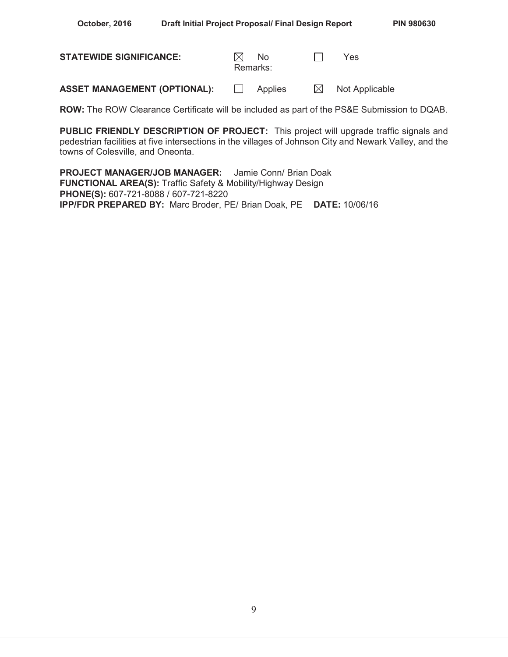| October, 2016                       | Draft Initial Project Proposal/ Final Design Report |          |                |  |                | <b>PIN 980630</b> |
|-------------------------------------|-----------------------------------------------------|----------|----------------|--|----------------|-------------------|
| <b>STATEWIDE SIGNIFICANCE:</b>      |                                                     | Remarks: | N <sub>0</sub> |  | Yes            |                   |
| <b>ASSET MANAGEMENT (OPTIONAL):</b> |                                                     |          | Applies        |  | Not Applicable |                   |

**ROW:** The ROW Clearance Certificate will be included as part of the PS&E Submission to DQAB.

PUBLIC FRIENDLY DESCRIPTION OF PROJECT: This project will upgrade traffic signals and pedestrian facilities at five intersections in the villages of Johnson City and Newark Valley, and the towns of Colesville, and Oneonta.

**PROJECT MANAGER/JOB MANAGER:** Jamie Conn/ Brian Doak **FUNCTIONAL AREA(S):** Traffic Safety & Mobility/Highway Design **PHONE(S):** 607-721-8088 / 607-721-8220 **IPP/FDR PREPARED BY:** Marc Broder, PE/ Brian Doak, PE **DATE:** 10/06/16